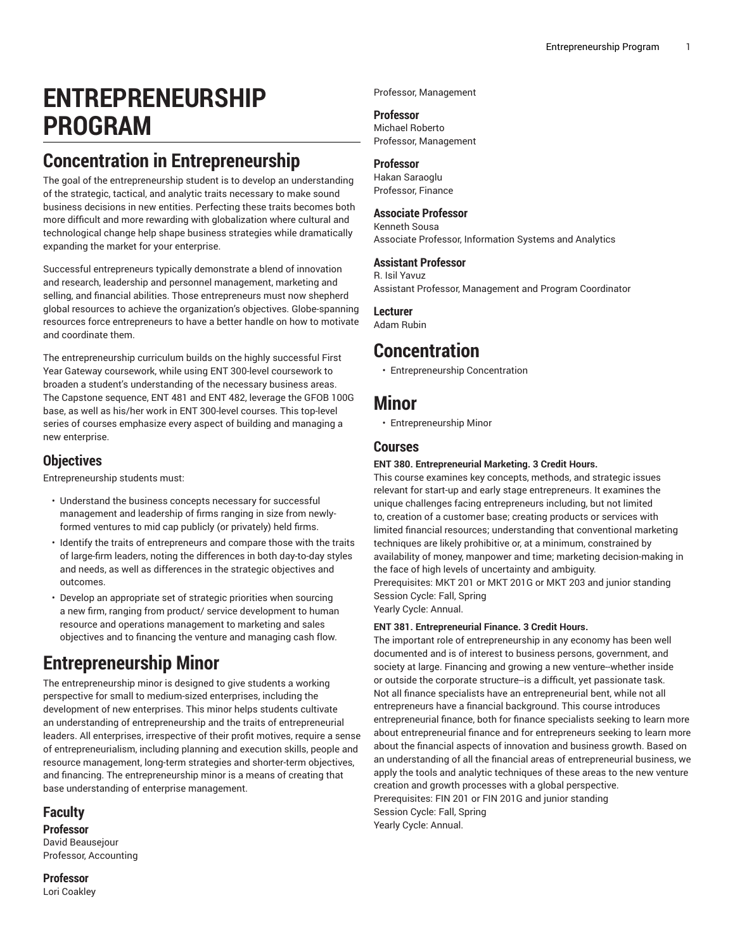# **ENTREPRENEURSHIP PROGRAM**

# **Concentration in Entrepreneurship**

The goal of the entrepreneurship student is to develop an understanding of the strategic, tactical, and analytic traits necessary to make sound business decisions in new entities. Perfecting these traits becomes both more difficult and more rewarding with globalization where cultural and technological change help shape business strategies while dramatically expanding the market for your enterprise.

Successful entrepreneurs typically demonstrate a blend of innovation and research, leadership and personnel management, marketing and selling, and financial abilities. Those entrepreneurs must now shepherd global resources to achieve the organization's objectives. Globe-spanning resources force entrepreneurs to have a better handle on how to motivate and coordinate them.

The entrepreneurship curriculum builds on the highly successful First Year Gateway coursework, while using ENT 300-level coursework to broaden a student's understanding of the necessary business areas. The Capstone sequence, ENT 481 and ENT 482, leverage the GFOB 100G base, as well as his/her work in ENT 300-level courses. This top-level series of courses emphasize every aspect of building and managing a new enterprise.

### **Objectives**

Entrepreneurship students must:

- Understand the business concepts necessary for successful management and leadership of firms ranging in size from newlyformed ventures to mid cap publicly (or privately) held firms.
- Identify the traits of entrepreneurs and compare those with the traits of large-firm leaders, noting the differences in both day-to-day styles and needs, as well as differences in the strategic objectives and outcomes.
- Develop an appropriate set of strategic priorities when sourcing a new firm, ranging from product/ service development to human resource and operations management to marketing and sales objectives and to financing the venture and managing cash flow.

# **Entrepreneurship Minor**

The entrepreneurship minor is designed to give students a working perspective for small to medium-sized enterprises, including the development of new enterprises. This minor helps students cultivate an understanding of entrepreneurship and the traits of entrepreneurial leaders. All enterprises, irrespective of their profit motives, require a sense of entrepreneurialism, including planning and execution skills, people and resource management, long-term strategies and shorter-term objectives, and financing. The entrepreneurship minor is a means of creating that base understanding of enterprise management.

### **Faculty**

**Professor** David Beausejour Professor, Accounting

**Professor** Lori Coakley Professor, Management

#### **Professor**

Michael Roberto Professor, Management

#### **Professor**

Hakan Saraoglu Professor, Finance

#### **Associate Professor**

Kenneth Sousa Associate Professor, Information Systems and Analytics

#### **Assistant Professor**

R. Isil Yavuz Assistant Professor, Management and Program Coordinator

#### **Lecturer**

Adam Rubin

## **Concentration**

• [Entrepreneurship](http://catalog.bryant.edu/undergraduate/collegeofbusiness/entrepreneurshipprogram/entrepreneurshipconcentration/) Concentration

### **Minor**

• [Entrepreneurship](http://catalog.bryant.edu/undergraduate/collegeofbusiness/entrepreneurshipprogram/entrepreneurshipminor/) Minor

#### **Courses**

#### **ENT 380. Entrepreneurial Marketing. 3 Credit Hours.**

This course examines key concepts, methods, and strategic issues relevant for start-up and early stage entrepreneurs. It examines the unique challenges facing entrepreneurs including, but not limited to, creation of a customer base; creating products or services with limited financial resources; understanding that conventional marketing techniques are likely prohibitive or, at a minimum, constrained by availability of money, manpower and time; marketing decision-making in the face of high levels of uncertainty and ambiguity. Prerequisites: MKT 201 or MKT 201G or MKT 203 and junior standing Session Cycle: Fall, Spring

Yearly Cycle: Annual.

#### **ENT 381. Entrepreneurial Finance. 3 Credit Hours.**

The important role of entrepreneurship in any economy has been well documented and is of interest to business persons, government, and society at large. Financing and growing a new venture--whether inside or outside the corporate structure--is a difficult, yet passionate task. Not all finance specialists have an entrepreneurial bent, while not all entrepreneurs have a financial background. This course introduces entrepreneurial finance, both for finance specialists seeking to learn more about entrepreneurial finance and for entrepreneurs seeking to learn more about the financial aspects of innovation and business growth. Based on an understanding of all the financial areas of entrepreneurial business, we apply the tools and analytic techniques of these areas to the new venture creation and growth processes with a global perspective. Prerequisites: FIN 201 or FIN 201G and junior standing Session Cycle: Fall, Spring

Yearly Cycle: Annual.